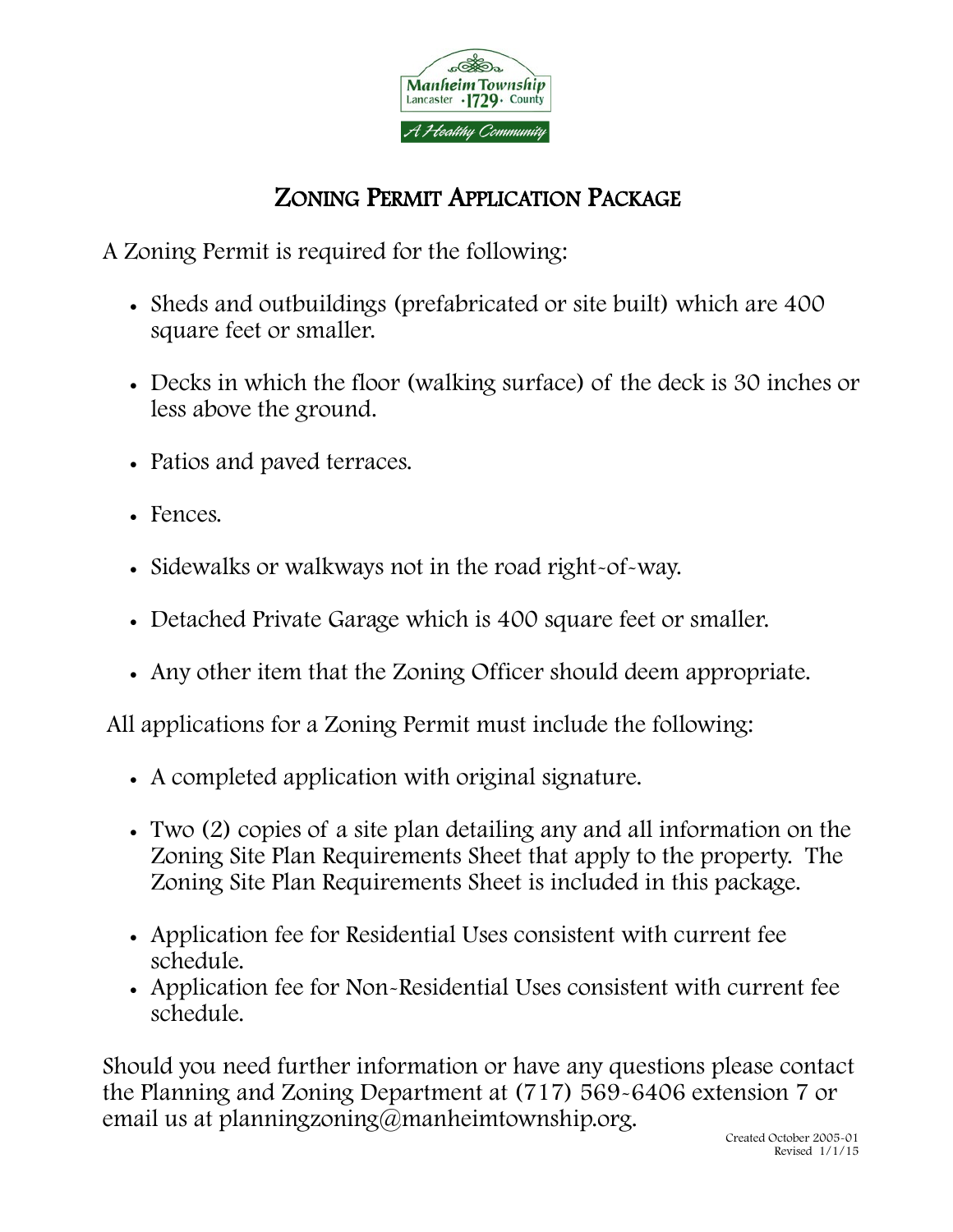

## ZONING PERMIT APPLICATION PACKAGE

A Zoning Permit is required for the following:

- Sheds and outbuildings (prefabricated or site built) which are 400 square feet or smaller.
- Decks in which the floor (walking surface) of the deck is 30 inches or less above the ground.
- Patios and paved terraces.
- Fences.
- Sidewalks or walkways not in the road right-of-way.
- Detached Private Garage which is 400 square feet or smaller.
- Any other item that the Zoning Officer should deem appropriate.

All applications for a Zoning Permit must include the following:

- A completed application with original signature.
- Two (2) copies of a site plan detailing any and all information on the Zoning Site Plan Requirements Sheet that apply to the property. The Zoning Site Plan Requirements Sheet is included in this package.
- Application fee for Residential Uses consistent with current fee schedule.
- Application fee for Non-Residential Uses consistent with current fee schedule.

Should you need further information or have any questions please contact the Planning and Zoning Department at (717) 569-6406 extension 7 or email us at planningzoning@manheimtownship.org.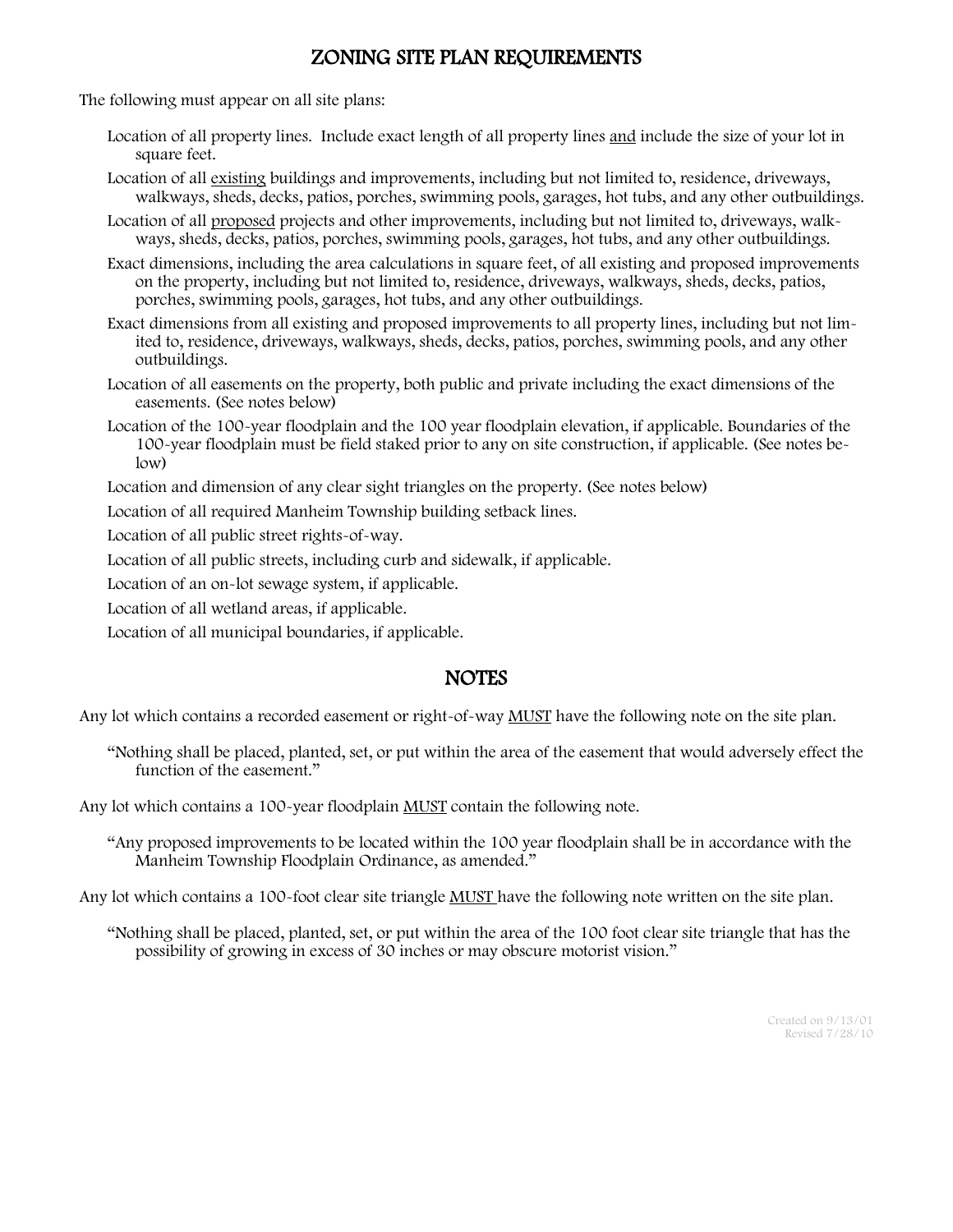## ZONING SITE PLAN REQUIREMENTS

The following must appear on all site plans:

- Location of all property lines. Include exact length of all property lines and include the size of your lot in square feet.
- Location of all existing buildings and improvements, including but not limited to, residence, driveways, walkways, sheds, decks, patios, porches, swimming pools, garages, hot tubs, and any other outbuildings.
- Location of all proposed projects and other improvements, including but not limited to, driveways, walkways, sheds, decks, patios, porches, swimming pools, garages, hot tubs, and any other outbuildings.
- Exact dimensions, including the area calculations in square feet, of all existing and proposed improvements on the property, including but not limited to, residence, driveways, walkways, sheds, decks, patios, porches, swimming pools, garages, hot tubs, and any other outbuildings.
- Exact dimensions from all existing and proposed improvements to all property lines, including but not limited to, residence, driveways, walkways, sheds, decks, patios, porches, swimming pools, and any other outbuildings.
- Location of all easements on the property, both public and private including the exact dimensions of the easements. (See notes below)
- Location of the 100-year floodplain and the 100 year floodplain elevation, if applicable. Boundaries of the 100-year floodplain must be field staked prior to any on site construction, if applicable. (See notes below)
- Location and dimension of any clear sight triangles on the property. (See notes below)

Location of all required Manheim Township building setback lines.

Location of all public street rights-of-way.

Location of all public streets, including curb and sidewalk, if applicable.

Location of an on-lot sewage system, if applicable.

Location of all wetland areas, if applicable.

Location of all municipal boundaries, if applicable.

## **NOTES**

Any lot which contains a recorded easement or right-of-way MUST have the following note on the site plan.

"Nothing shall be placed, planted, set, or put within the area of the easement that would adversely effect the function of the easement."

Any lot which contains a 100-year floodplain MUST contain the following note.

"Any proposed improvements to be located within the 100 year floodplain shall be in accordance with the Manheim Township Floodplain Ordinance, as amended."

Any lot which contains a 100-foot clear site triangle MUST have the following note written on the site plan.

"Nothing shall be placed, planted, set, or put within the area of the 100 foot clear site triangle that has the possibility of growing in excess of 30 inches or may obscure motorist vision."

> Created on 9/13/01 Revised 7/28/10